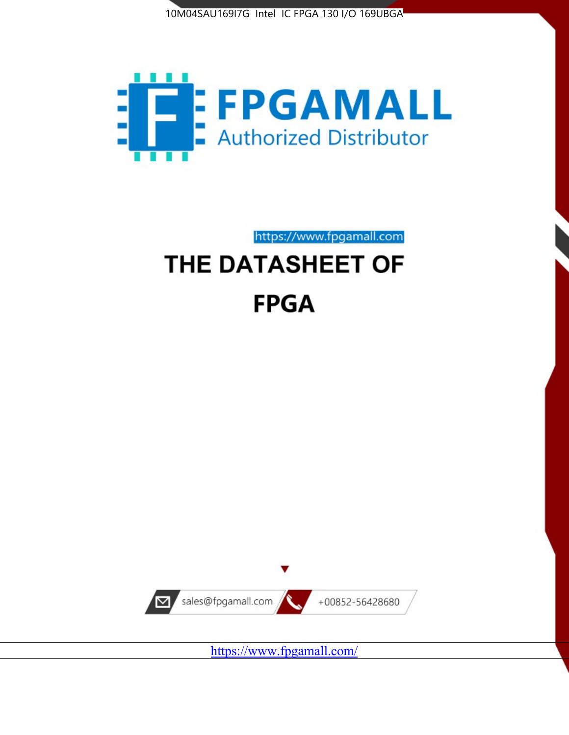



https://www.fpgamall.com

# THE DATASHEET OF **FPGA**



<https://www.fpgamall.com/>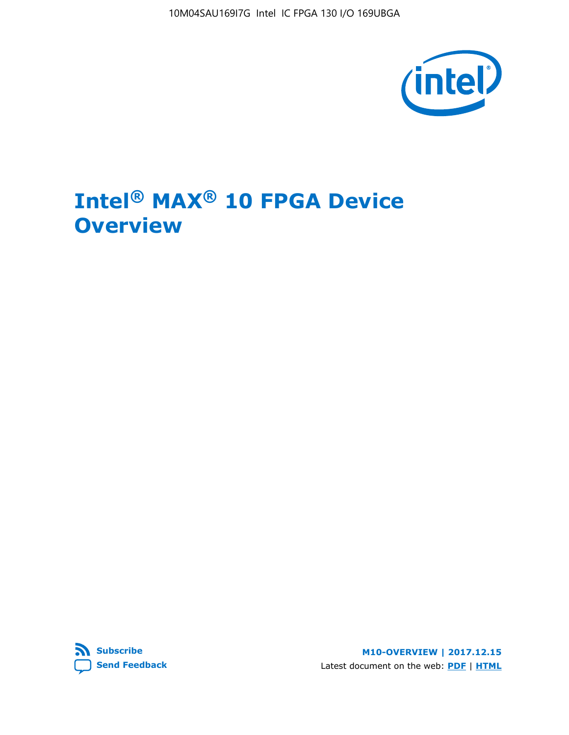10M04SAU169I7G Intel IC FPGA 130 I/O 169UBGA



# **Intel® MAX® 10 FPGA Device Overview**



**M10-OVERVIEW | 2017.12.15** Latest document on the web: **[PDF](https://www.altera.com/en_US/pdfs/literature/hb/max-10/m10_overview.pdf)** | **[HTML](https://www.altera.com/documentation/myt1396938463674.html)**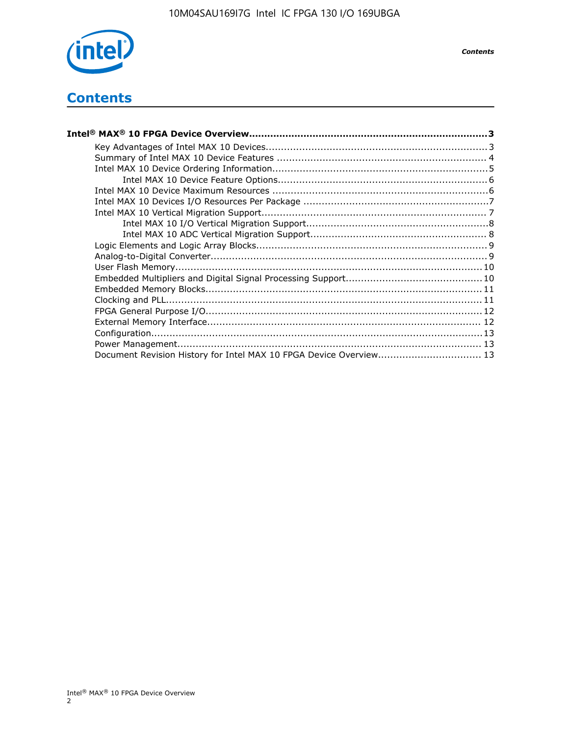

## **Contents**

| Intel® MAX® 10 FPGA Device Overview……………………………………………………………………………3  |  |
|--------------------------------------------------------------------|--|
|                                                                    |  |
|                                                                    |  |
|                                                                    |  |
|                                                                    |  |
|                                                                    |  |
|                                                                    |  |
|                                                                    |  |
|                                                                    |  |
|                                                                    |  |
|                                                                    |  |
|                                                                    |  |
|                                                                    |  |
|                                                                    |  |
|                                                                    |  |
|                                                                    |  |
|                                                                    |  |
|                                                                    |  |
|                                                                    |  |
|                                                                    |  |
| Document Revision History for Intel MAX 10 FPGA Device Overview 13 |  |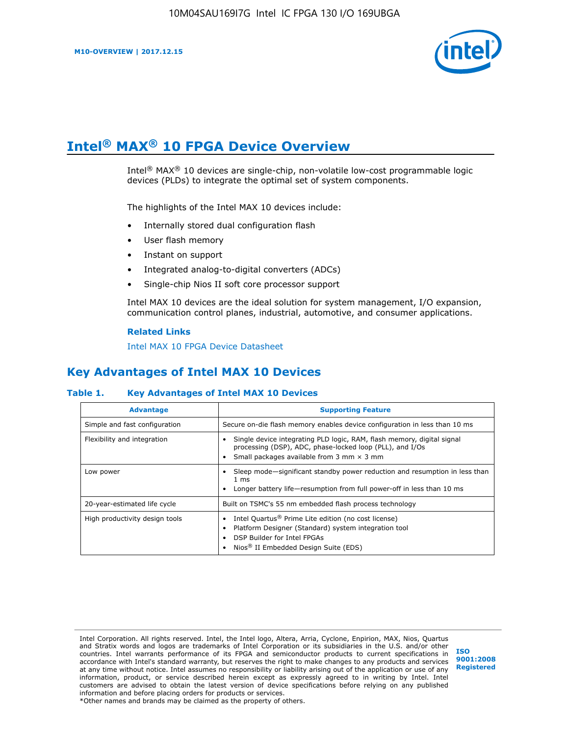

# **Intel® MAX® 10 FPGA Device Overview**

Intel® MAX® 10 devices are single-chip, non-volatile low-cost programmable logic devices (PLDs) to integrate the optimal set of system components.

The highlights of the Intel MAX 10 devices include:

- Internally stored dual configuration flash
- User flash memory
- Instant on support
- Integrated analog-to-digital converters (ADCs)
- Single-chip Nios II soft core processor support

Intel MAX 10 devices are the ideal solution for system management, I/O expansion, communication control planes, industrial, automotive, and consumer applications.

#### **Related Links**

[Intel MAX 10 FPGA Device Datasheet](https://www.altera.com/documentation/mcn1397700832153.html#mcn1397643748870)

## **Key Advantages of Intel MAX 10 Devices**

## **Table 1. Key Advantages of Intel MAX 10 Devices**

| <b>Advantage</b>               | <b>Supporting Feature</b>                                                                                                                                                                                  |  |  |  |
|--------------------------------|------------------------------------------------------------------------------------------------------------------------------------------------------------------------------------------------------------|--|--|--|
| Simple and fast configuration  | Secure on-die flash memory enables device configuration in less than 10 ms                                                                                                                                 |  |  |  |
| Flexibility and integration    | Single device integrating PLD logic, RAM, flash memory, digital signal<br>processing (DSP), ADC, phase-locked loop (PLL), and I/Os<br>Small packages available from 3 mm $\times$ 3 mm                     |  |  |  |
| Low power                      | Sleep mode—significant standby power reduction and resumption in less than<br>$1 \text{ ms}$<br>Longer battery life—resumption from full power-off in less than 10 ms                                      |  |  |  |
| 20-year-estimated life cycle   | Built on TSMC's 55 nm embedded flash process technology                                                                                                                                                    |  |  |  |
| High productivity design tools | Intel Quartus <sup>®</sup> Prime Lite edition (no cost license)<br>Platform Designer (Standard) system integration tool<br>DSP Builder for Intel FPGAs<br>Nios <sup>®</sup> II Embedded Design Suite (EDS) |  |  |  |

Intel Corporation. All rights reserved. Intel, the Intel logo, Altera, Arria, Cyclone, Enpirion, MAX, Nios, Quartus and Stratix words and logos are trademarks of Intel Corporation or its subsidiaries in the U.S. and/or other countries. Intel warrants performance of its FPGA and semiconductor products to current specifications in accordance with Intel's standard warranty, but reserves the right to make changes to any products and services at any time without notice. Intel assumes no responsibility or liability arising out of the application or use of any information, product, or service described herein except as expressly agreed to in writing by Intel. Intel customers are advised to obtain the latest version of device specifications before relying on any published information and before placing orders for products or services. \*Other names and brands may be claimed as the property of others.

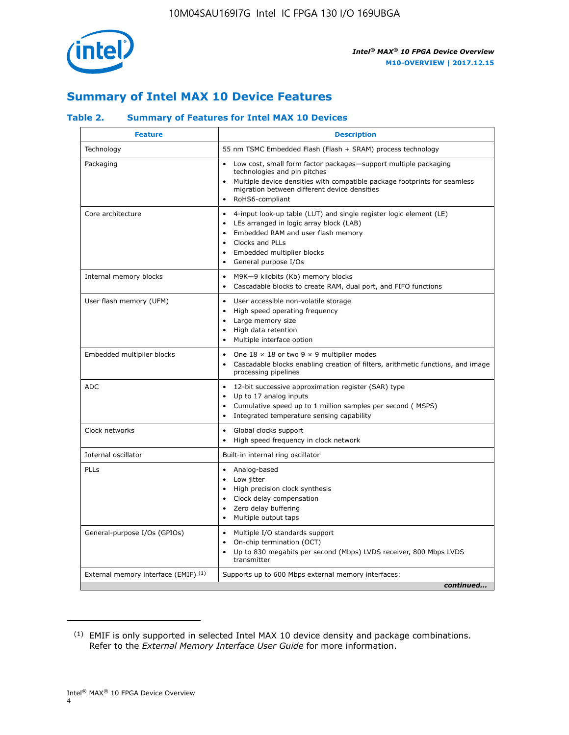

## **Summary of Intel MAX 10 Device Features**

## **Table 2. Summary of Features for Intel MAX 10 Devices**

| <b>Feature</b>                       | <b>Description</b>                                                                                                                                                                                                                                                               |
|--------------------------------------|----------------------------------------------------------------------------------------------------------------------------------------------------------------------------------------------------------------------------------------------------------------------------------|
| Technology                           | 55 nm TSMC Embedded Flash (Flash + SRAM) process technology                                                                                                                                                                                                                      |
| Packaging                            | Low cost, small form factor packages-support multiple packaging<br>technologies and pin pitches<br>Multiple device densities with compatible package footprints for seamless<br>migration between different device densities<br>RoHS6-compliant                                  |
| Core architecture                    | 4-input look-up table (LUT) and single register logic element (LE)<br>$\bullet$<br>LEs arranged in logic array block (LAB)<br>$\bullet$<br>Embedded RAM and user flash memory<br>Clocks and PLLs<br>$\bullet$<br>Embedded multiplier blocks<br>$\bullet$<br>General purpose I/Os |
| Internal memory blocks               | M9K-9 kilobits (Kb) memory blocks<br>$\bullet$<br>Cascadable blocks to create RAM, dual port, and FIFO functions<br>$\bullet$                                                                                                                                                    |
| User flash memory (UFM)              | User accessible non-volatile storage<br>$\bullet$<br>High speed operating frequency<br>$\bullet$<br>Large memory size<br>$\bullet$<br>High data retention<br>$\bullet$<br>Multiple interface option                                                                              |
| Embedded multiplier blocks           | One $18 \times 18$ or two 9 $\times$ 9 multiplier modes<br>$\bullet$<br>Cascadable blocks enabling creation of filters, arithmetic functions, and image<br>processing pipelines                                                                                                  |
| <b>ADC</b>                           | 12-bit successive approximation register (SAR) type<br>$\bullet$<br>Up to 17 analog inputs<br>$\bullet$<br>Cumulative speed up to 1 million samples per second (MSPS)<br>Integrated temperature sensing capability                                                               |
| Clock networks                       | Global clocks support<br>$\bullet$<br>High speed frequency in clock network                                                                                                                                                                                                      |
| Internal oscillator                  | Built-in internal ring oscillator                                                                                                                                                                                                                                                |
| PLLs                                 | • Analog-based<br>Low jitter<br>$\bullet$<br>High precision clock synthesis<br>$\bullet$<br>Clock delay compensation<br>$\bullet$<br>Zero delay buffering<br>$\bullet$<br>Multiple output taps<br>$\bullet$                                                                      |
| General-purpose I/Os (GPIOs)         | Multiple I/O standards support<br>$\bullet$<br>On-chip termination (OCT)<br>$\bullet$<br>Up to 830 megabits per second (Mbps) LVDS receiver, 800 Mbps LVDS<br>$\bullet$<br>transmitter                                                                                           |
| External memory interface (EMIF) (1) | Supports up to 600 Mbps external memory interfaces:<br>continued                                                                                                                                                                                                                 |
|                                      |                                                                                                                                                                                                                                                                                  |

<sup>(1)</sup> EMIF is only supported in selected Intel MAX 10 device density and package combinations. Refer to the *External Memory Interface User Guide* for more information.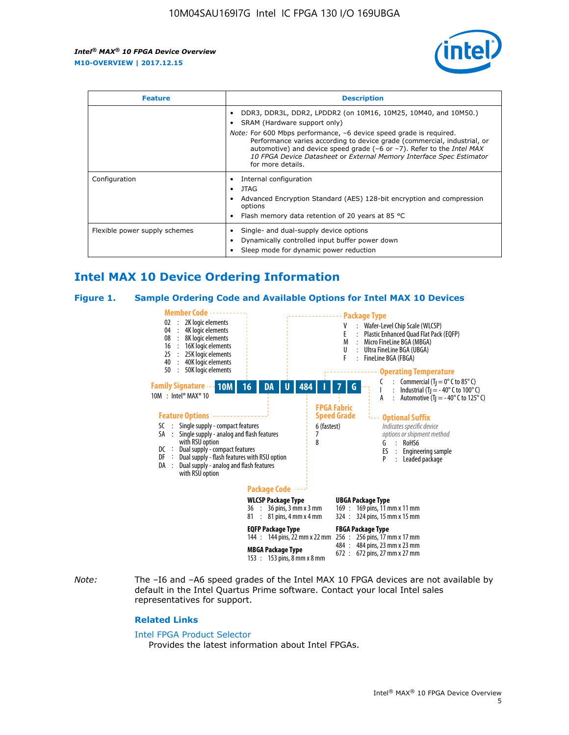

| <b>Feature</b>                | <b>Description</b>                                                                                                                                                                                                                                                                                                                             |  |  |  |
|-------------------------------|------------------------------------------------------------------------------------------------------------------------------------------------------------------------------------------------------------------------------------------------------------------------------------------------------------------------------------------------|--|--|--|
|                               | DDR3, DDR3L, DDR2, LPDDR2 (on 10M16, 10M25, 10M40, and 10M50.)<br>SRAM (Hardware support only)                                                                                                                                                                                                                                                 |  |  |  |
|                               | <i>Note:</i> For 600 Mbps performance, -6 device speed grade is required.<br>Performance varies according to device grade (commercial, industrial, or<br>automotive) and device speed grade $(-6 \text{ or } -7)$ . Refer to the <i>Intel MAX</i><br>10 FPGA Device Datasheet or External Memory Interface Spec Estimator<br>for more details. |  |  |  |
| Configuration                 | Internal configuration                                                                                                                                                                                                                                                                                                                         |  |  |  |
|                               | JTAG<br>٠                                                                                                                                                                                                                                                                                                                                      |  |  |  |
|                               | Advanced Encryption Standard (AES) 128-bit encryption and compression<br>options                                                                                                                                                                                                                                                               |  |  |  |
|                               | Flash memory data retention of 20 years at 85 $^{\circ}$ C                                                                                                                                                                                                                                                                                     |  |  |  |
| Flexible power supply schemes | Single- and dual-supply device options                                                                                                                                                                                                                                                                                                         |  |  |  |
|                               | Dynamically controlled input buffer power down                                                                                                                                                                                                                                                                                                 |  |  |  |
|                               | Sleep mode for dynamic power reduction                                                                                                                                                                                                                                                                                                         |  |  |  |

## **Intel MAX 10 Device Ordering Information**

#### **Figure 1. Sample Ordering Code and Available Options for Intel MAX 10 Devices**



*Note:* The –I6 and –A6 speed grades of the Intel MAX 10 FPGA devices are not available by default in the Intel Quartus Prime software. Contact your local Intel sales representatives for support.

#### **Related Links**

#### [Intel FPGA Product Selector](http://www.altera.com/products/selector/psg-selector.html)

Provides the latest information about Intel FPGAs.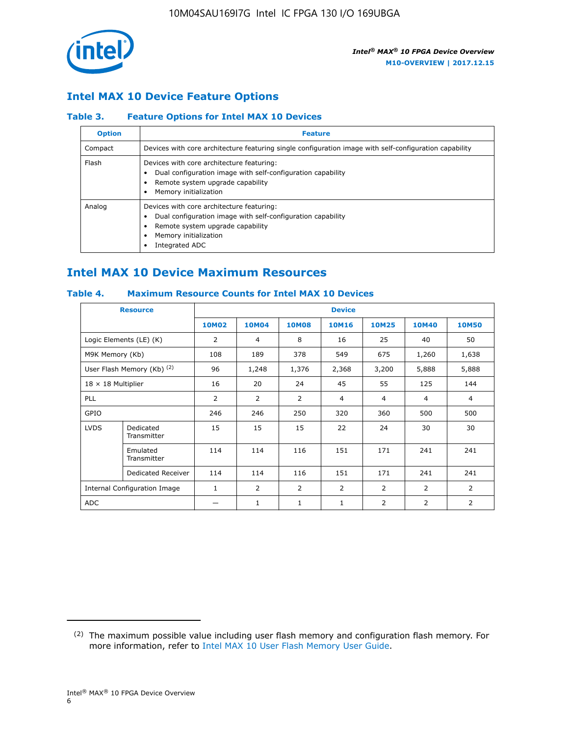

## **Intel MAX 10 Device Feature Options**

## **Table 3. Feature Options for Intel MAX 10 Devices**

| <b>Option</b> | <b>Feature</b>                                                                                                                                                                          |
|---------------|-----------------------------------------------------------------------------------------------------------------------------------------------------------------------------------------|
| Compact       | Devices with core architecture featuring single configuration image with self-configuration capability                                                                                  |
| Flash         | Devices with core architecture featuring:<br>Dual configuration image with self-configuration capability<br>Remote system upgrade capability<br>Memory initialization                   |
| Analog        | Devices with core architecture featuring:<br>Dual configuration image with self-configuration capability<br>Remote system upgrade capability<br>Memory initialization<br>Integrated ADC |

## **Intel MAX 10 Device Maximum Resources**

## **Table 4. Maximum Resource Counts for Intel MAX 10 Devices**

| <b>Resource</b>                     |                            | <b>Device</b> |                |                |                |                |              |                |
|-------------------------------------|----------------------------|---------------|----------------|----------------|----------------|----------------|--------------|----------------|
|                                     |                            | <b>10M02</b>  | <b>10M04</b>   | <b>10M08</b>   | <b>10M16</b>   | <b>10M25</b>   | <b>10M40</b> | <b>10M50</b>   |
|                                     | Logic Elements (LE) (K)    | 2             | 4              | 8              | 16             | 25             | 40           | 50             |
| M9K Memory (Kb)                     |                            | 108           | 189            | 378            | 549            | 675            | 1,260        | 1,638          |
|                                     | User Flash Memory (Kb) (2) | 96            | 1,248          | 1,376          | 2,368          | 3,200          | 5,888        | 5,888          |
| $18 \times 18$ Multiplier           |                            | 16            | 20             | 24             | 45             | 55             | 125          | 144            |
| <b>PLL</b>                          |                            | 2             | 2              | 2              | $\overline{4}$ | $\overline{4}$ | 4            | $\overline{4}$ |
| GPIO                                |                            | 246           | 246            | 250            | 320            | 360            | 500          | 500            |
| <b>LVDS</b>                         | Dedicated<br>Transmitter   | 15            | 15             | 15             | 22             | 24             | 30           | 30             |
|                                     | Emulated<br>Transmitter    | 114           | 114            | 116            | 151            | 171            | 241          | 241            |
|                                     | Dedicated Receiver         | 114           | 114            | 116            | 151            | 171            | 241          | 241            |
| <b>Internal Configuration Image</b> |                            | $\mathbf{1}$  | $\overline{2}$ | $\overline{2}$ | $\overline{2}$ | $\overline{2}$ | 2            | $\overline{2}$ |
| <b>ADC</b>                          |                            |               | 1              | 1              | 1              | 2              | 2            | 2              |

<sup>(2)</sup> The maximum possible value including user flash memory and configuration flash memory. For more information, refer to [Intel MAX 10 User Flash Memory User Guide](https://www.altera.com/documentation/vgo1395753117436.html#vgo1395811844282).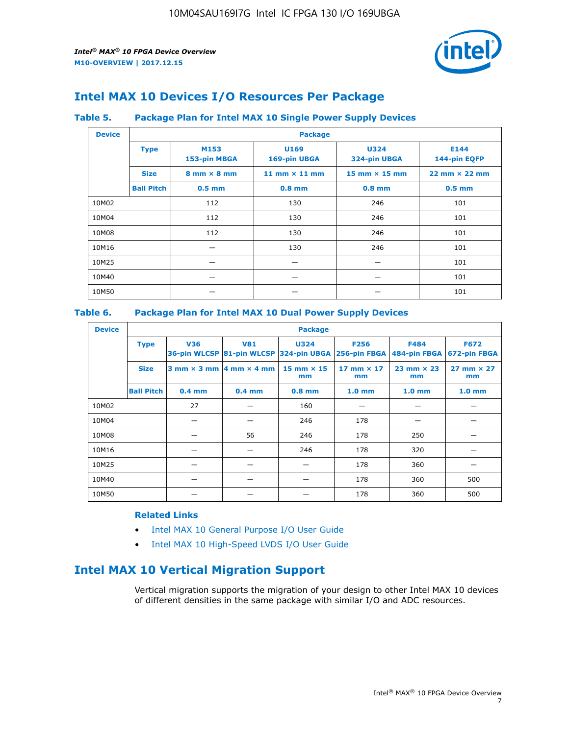

## **Intel MAX 10 Devices I/O Resources Per Package**

## **Table 5. Package Plan for Intel MAX 10 Single Power Supply Devices**

| <b>Device</b> |                   | <b>Package</b>                     |                      |                                      |                                      |  |  |  |  |
|---------------|-------------------|------------------------------------|----------------------|--------------------------------------|--------------------------------------|--|--|--|--|
|               | <b>Type</b>       | M153<br>153-pin MBGA               | U169<br>169-pin UBGA | <b>U324</b><br>324-pin UBGA          | E144<br>144-pin EQFP                 |  |  |  |  |
|               | <b>Size</b>       | $8 \text{ mm} \times 8 \text{ mm}$ | 11 mm $\times$ 11 mm | $15 \text{ mm} \times 15 \text{ mm}$ | $22 \text{ mm} \times 22 \text{ mm}$ |  |  |  |  |
|               | <b>Ball Pitch</b> | $0.5$ mm                           | $0.8$ mm             | $0.8$ mm                             | $0.5$ mm                             |  |  |  |  |
| 10M02         |                   | 112                                | 130                  | 246                                  | 101                                  |  |  |  |  |
| 10M04         |                   | 112                                | 130                  | 246                                  | 101                                  |  |  |  |  |
| 10M08         |                   | 112                                | 130                  | 246                                  | 101                                  |  |  |  |  |
| 10M16         |                   |                                    | 130                  | 246                                  | 101                                  |  |  |  |  |
| 10M25         |                   |                                    |                      |                                      | 101                                  |  |  |  |  |
| 10M40         |                   |                                    |                      |                                      | 101                                  |  |  |  |  |
| 10M50         |                   |                                    |                      |                                      | 101                                  |  |  |  |  |

## **Table 6. Package Plan for Intel MAX 10 Dual Power Supply Devices**

| <b>Device</b> |                   | <b>Package</b> |                                            |                                                                    |                         |                           |                             |  |  |
|---------------|-------------------|----------------|--------------------------------------------|--------------------------------------------------------------------|-------------------------|---------------------------|-----------------------------|--|--|
|               | <b>Type</b>       | <b>V36</b>     | <b>V81</b>                                 | <b>U324</b><br>36-pin WLCSP 81-pin WLCSP 324-pin UBGA 256-pin FBGA | <b>F256</b>             | F484<br>484-pin FBGA      | <b>F672</b><br>672-pin FBGA |  |  |
|               | <b>Size</b>       |                | $3$ mm $\times$ 3 mm $ 4$ mm $\times$ 4 mm | $15$ mm $\times$ 15<br>mm                                          | 17 mm $\times$ 17<br>mm | $23$ mm $\times$ 23<br>mm | $27$ mm $\times$ 27<br>mm   |  |  |
|               | <b>Ball Pitch</b> | $0.4$ mm       | $0.4$ mm                                   | $0.8$ mm                                                           | 1.0 <sub>mm</sub>       | 1.0 <sub>mm</sub>         | 1.0 <sub>mm</sub>           |  |  |
| 10M02         |                   | 27             |                                            | 160                                                                |                         |                           |                             |  |  |
| 10M04         |                   |                |                                            | 246                                                                | 178                     |                           |                             |  |  |
| 10M08         |                   |                | 56                                         | 246                                                                | 178                     | 250                       |                             |  |  |
| 10M16         |                   |                |                                            | 246                                                                | 178                     | 320                       |                             |  |  |
| 10M25         |                   |                |                                            |                                                                    | 178                     | 360                       |                             |  |  |
| 10M40         |                   |                |                                            |                                                                    | 178                     | 360                       | 500                         |  |  |
| 10M50         |                   |                |                                            |                                                                    | 178                     | 360                       | 500                         |  |  |

## **Related Links**

- [Intel MAX 10 General Purpose I/O User Guide](https://www.altera.com/documentation/sam1393999966669.html#sam1394000084476)
- [Intel MAX 10 High-Speed LVDS I/O User Guide](https://www.altera.com/documentation/sam1394433606063.html#sam1394433911642)

## **Intel MAX 10 Vertical Migration Support**

Vertical migration supports the migration of your design to other Intel MAX 10 devices of different densities in the same package with similar I/O and ADC resources.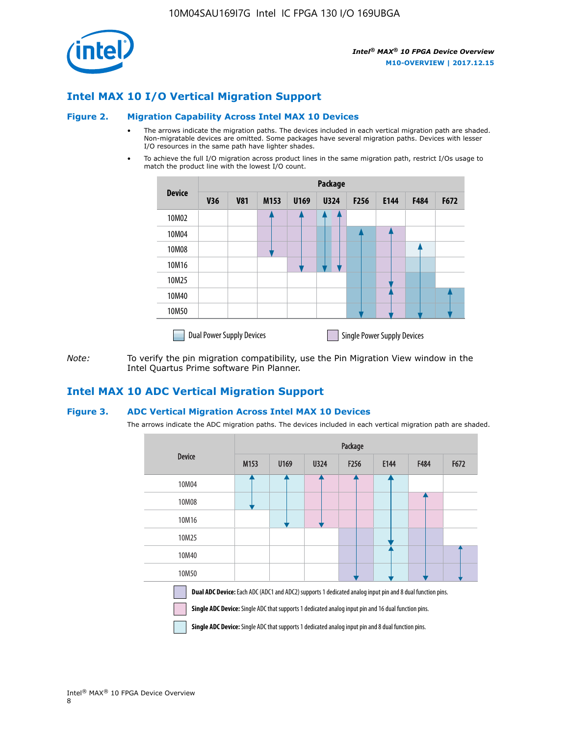

## **Intel MAX 10 I/O Vertical Migration Support**

#### **Figure 2. Migration Capability Across Intel MAX 10 Devices**

- The arrows indicate the migration paths. The devices included in each vertical migration path are shaded. Non-migratable devices are omitted. Some packages have several migration paths. Devices with lesser I/O resources in the same path have lighter shades.
- To achieve the full I/O migration across product lines in the same migration path, restrict I/Os usage to match the product line with the lowest I/O count.

|               | <b>Package</b>                   |            |      |      |             |                  |                                    |      |      |  |
|---------------|----------------------------------|------------|------|------|-------------|------------------|------------------------------------|------|------|--|
| <b>Device</b> | <b>V36</b>                       | <b>V81</b> | M153 | U169 | <b>U324</b> | F <sub>256</sub> | E144                               | F484 | F672 |  |
| 10M02         |                                  |            |      |      | 7           |                  |                                    |      |      |  |
| 10M04         |                                  |            |      |      |             |                  |                                    |      |      |  |
| 10M08         |                                  |            |      |      |             |                  |                                    |      |      |  |
| 10M16         |                                  |            |      |      |             |                  |                                    |      |      |  |
| 10M25         |                                  |            |      |      |             |                  |                                    |      |      |  |
| 10M40         |                                  |            |      |      |             |                  |                                    |      |      |  |
| 10M50         |                                  |            |      |      |             |                  |                                    |      |      |  |
|               | <b>Dual Power Supply Devices</b> |            |      |      |             |                  | <b>Single Power Supply Devices</b> |      |      |  |

*Note:* To verify the pin migration compatibility, use the Pin Migration View window in the Intel Quartus Prime software Pin Planner.

## **Intel MAX 10 ADC Vertical Migration Support**

#### **Figure 3. ADC Vertical Migration Across Intel MAX 10 Devices**

The arrows indicate the ADC migration paths. The devices included in each vertical migration path are shaded.

|                                                                                                                                                                                                                         | Package |      |      |                  |      |      |      |  |  |
|-------------------------------------------------------------------------------------------------------------------------------------------------------------------------------------------------------------------------|---------|------|------|------------------|------|------|------|--|--|
| <b>Device</b>                                                                                                                                                                                                           | M153    | U169 | U324 | F <sub>256</sub> | E144 | F484 | F672 |  |  |
| 10M04                                                                                                                                                                                                                   |         |      |      |                  |      |      |      |  |  |
| 10M08                                                                                                                                                                                                                   |         |      |      |                  |      |      |      |  |  |
| 10M16                                                                                                                                                                                                                   |         |      |      |                  |      |      |      |  |  |
| 10M25                                                                                                                                                                                                                   |         |      |      |                  |      |      |      |  |  |
| 10M40                                                                                                                                                                                                                   |         |      |      |                  |      |      |      |  |  |
| 10M50                                                                                                                                                                                                                   |         |      |      |                  |      |      |      |  |  |
| Dual ADC Device: Each ADC (ADC1 and ADC2) supports 1 dedicated analog input pin and 8 dual function pins.<br><b>Single ADC Device:</b> Single ADC that supports 1 dedicated analog input pin and 16 dual function pins. |         |      |      |                  |      |      |      |  |  |

**Single ADC Device:** Single ADC that supports 1 dedicated analog input pin and 8 dual function pins.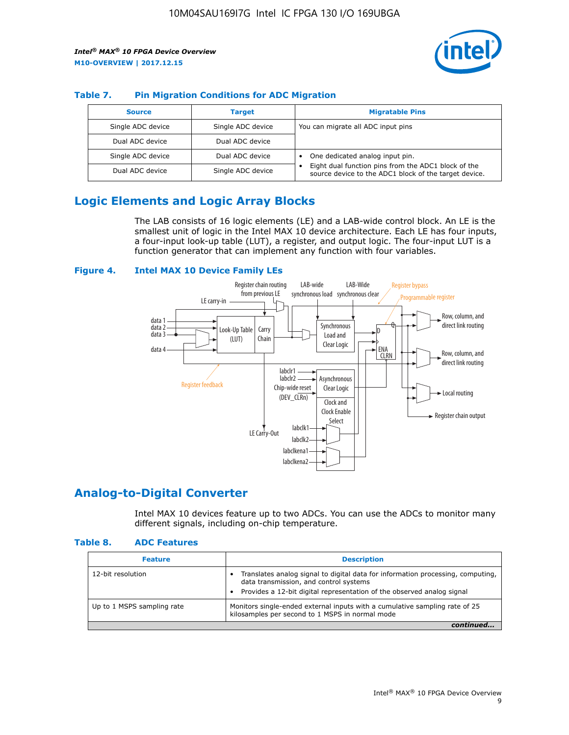

## **Table 7. Pin Migration Conditions for ADC Migration**

| <b>Source</b>     | <b>Target</b>     | <b>Migratable Pins</b>                                                                                            |
|-------------------|-------------------|-------------------------------------------------------------------------------------------------------------------|
| Single ADC device | Single ADC device | You can migrate all ADC input pins                                                                                |
| Dual ADC device   | Dual ADC device   |                                                                                                                   |
| Single ADC device | Dual ADC device   | One dedicated analog input pin.                                                                                   |
| Dual ADC device   | Single ADC device | Eight dual function pins from the ADC1 block of the<br>٠<br>source device to the ADC1 block of the target device. |

## **Logic Elements and Logic Array Blocks**

The LAB consists of 16 logic elements (LE) and a LAB-wide control block. An LE is the smallest unit of logic in the Intel MAX 10 device architecture. Each LE has four inputs, a four-input look-up table (LUT), a register, and output logic. The four-input LUT is a function generator that can implement any function with four variables.

#### **Figure 4. Intel MAX 10 Device Family LEs**



## **Analog-to-Digital Converter**

Intel MAX 10 devices feature up to two ADCs. You can use the ADCs to monitor many different signals, including on-chip temperature.

#### **Table 8. ADC Features**

| <b>Feature</b>             | <b>Description</b>                                                                                                                                                                                  |
|----------------------------|-----------------------------------------------------------------------------------------------------------------------------------------------------------------------------------------------------|
| 12-bit resolution          | Translates analog signal to digital data for information processing, computing,<br>data transmission, and control systems<br>Provides a 12-bit digital representation of the observed analog signal |
| Up to 1 MSPS sampling rate | Monitors single-ended external inputs with a cumulative sampling rate of 25<br>kilosamples per second to 1 MSPS in normal mode                                                                      |
|                            |                                                                                                                                                                                                     |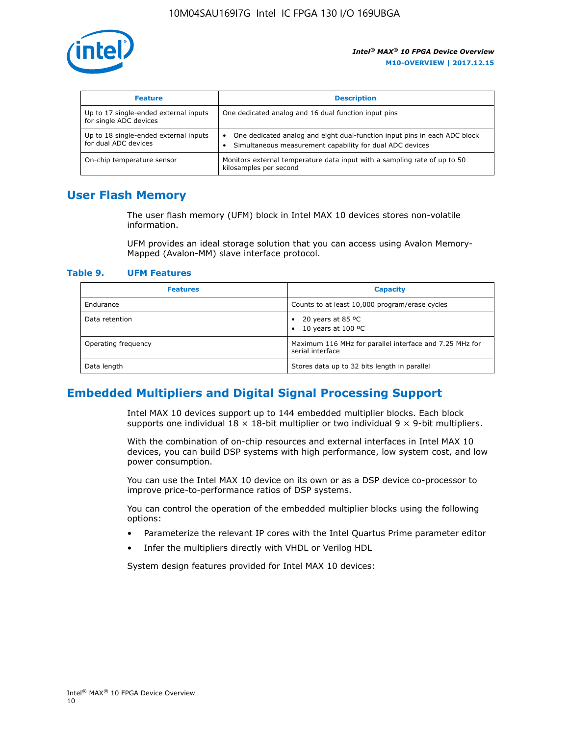

| <b>Feature</b>                                                  | <b>Description</b>                                                                                                                         |
|-----------------------------------------------------------------|--------------------------------------------------------------------------------------------------------------------------------------------|
| Up to 17 single-ended external inputs<br>for single ADC devices | One dedicated analog and 16 dual function input pins                                                                                       |
| Up to 18 single-ended external inputs<br>for dual ADC devices   | One dedicated analog and eight dual-function input pins in each ADC block<br>٠<br>Simultaneous measurement capability for dual ADC devices |
| On-chip temperature sensor                                      | Monitors external temperature data input with a sampling rate of up to 50<br>kilosamples per second                                        |

## **User Flash Memory**

The user flash memory (UFM) block in Intel MAX 10 devices stores non-volatile information.

UFM provides an ideal storage solution that you can access using Avalon Memory-Mapped (Avalon-MM) slave interface protocol.

#### **Table 9. UFM Features**

| <b>Features</b>     | <b>Capacity</b>                                                             |
|---------------------|-----------------------------------------------------------------------------|
| Endurance           | Counts to at least 10,000 program/erase cycles                              |
| Data retention      | 20 years at 85 °C<br>٠<br>10 years at 100 °C<br>$\bullet$                   |
| Operating frequency | Maximum 116 MHz for parallel interface and 7.25 MHz for<br>serial interface |
| Data length         | Stores data up to 32 bits length in parallel                                |

## **Embedded Multipliers and Digital Signal Processing Support**

Intel MAX 10 devices support up to 144 embedded multiplier blocks. Each block supports one individual  $18 \times 18$ -bit multiplier or two individual  $9 \times 9$ -bit multipliers.

With the combination of on-chip resources and external interfaces in Intel MAX 10 devices, you can build DSP systems with high performance, low system cost, and low power consumption.

You can use the Intel MAX 10 device on its own or as a DSP device co-processor to improve price-to-performance ratios of DSP systems.

You can control the operation of the embedded multiplier blocks using the following options:

- Parameterize the relevant IP cores with the Intel Quartus Prime parameter editor
- Infer the multipliers directly with VHDL or Verilog HDL

System design features provided for Intel MAX 10 devices: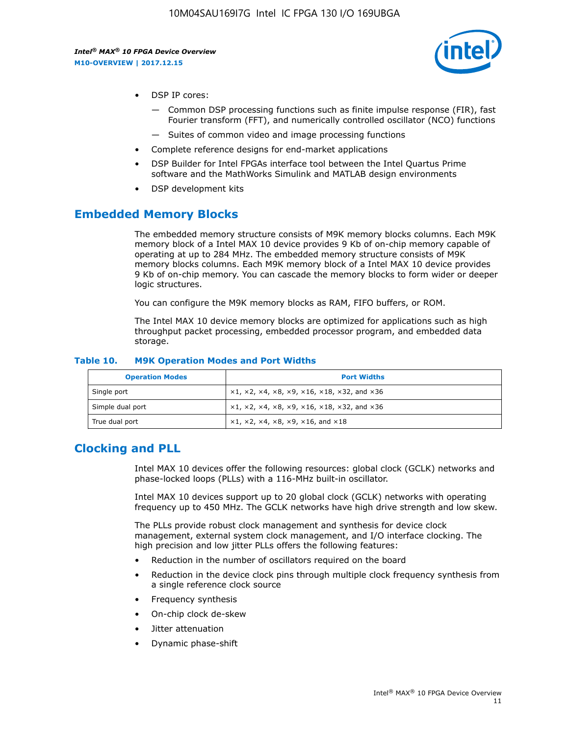

- DSP IP cores:
	- Common DSP processing functions such as finite impulse response (FIR), fast Fourier transform (FFT), and numerically controlled oscillator (NCO) functions
	- Suites of common video and image processing functions
- Complete reference designs for end-market applications
- DSP Builder for Intel FPGAs interface tool between the Intel Quartus Prime software and the MathWorks Simulink and MATLAB design environments
- DSP development kits

## **Embedded Memory Blocks**

The embedded memory structure consists of M9K memory blocks columns. Each M9K memory block of a Intel MAX 10 device provides 9 Kb of on-chip memory capable of operating at up to 284 MHz. The embedded memory structure consists of M9K memory blocks columns. Each M9K memory block of a Intel MAX 10 device provides 9 Kb of on-chip memory. You can cascade the memory blocks to form wider or deeper logic structures.

You can configure the M9K memory blocks as RAM, FIFO buffers, or ROM.

The Intel MAX 10 device memory blocks are optimized for applications such as high throughput packet processing, embedded processor program, and embedded data storage.

| <b>Operation Modes</b> | <b>Port Widths</b>                                                                       |
|------------------------|------------------------------------------------------------------------------------------|
| Single port            | $x1, x2, x4, x8, x9, x16, x18, x32, and x36$                                             |
| Simple dual port       | $x1, x2, x4, x8, x9, x16, x18, x32, and x36$                                             |
| True dual port         | $\times$ 1, $\times$ 2, $\times$ 4, $\times$ 8, $\times$ 9, $\times$ 16, and $\times$ 18 |

#### **Table 10. M9K Operation Modes and Port Widths**

## **Clocking and PLL**

Intel MAX 10 devices offer the following resources: global clock (GCLK) networks and phase-locked loops (PLLs) with a 116-MHz built-in oscillator.

Intel MAX 10 devices support up to 20 global clock (GCLK) networks with operating frequency up to 450 MHz. The GCLK networks have high drive strength and low skew.

The PLLs provide robust clock management and synthesis for device clock management, external system clock management, and I/O interface clocking. The high precision and low jitter PLLs offers the following features:

- Reduction in the number of oscillators required on the board
- Reduction in the device clock pins through multiple clock frequency synthesis from a single reference clock source
- Frequency synthesis
- On-chip clock de-skew
- Jitter attenuation
- Dynamic phase-shift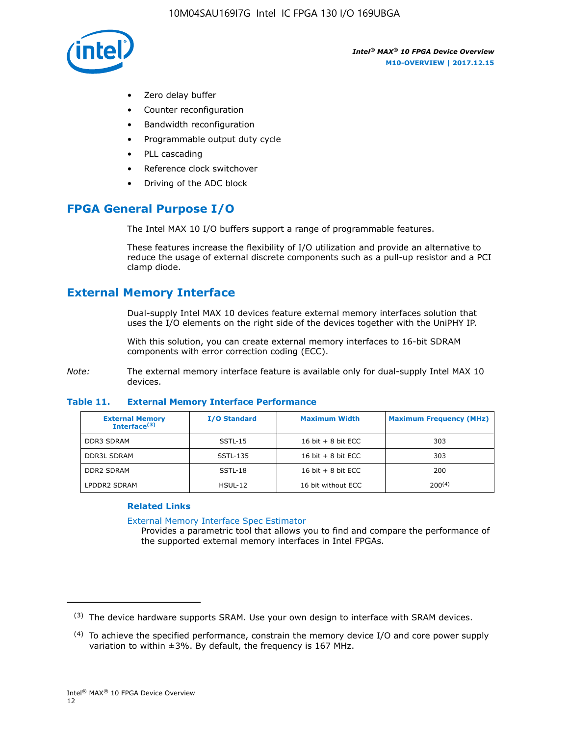

- Zero delay buffer
- Counter reconfiguration
- Bandwidth reconfiguration
- Programmable output duty cycle
- PLL cascading
- Reference clock switchover
- Driving of the ADC block

## **FPGA General Purpose I/O**

The Intel MAX 10 I/O buffers support a range of programmable features.

These features increase the flexibility of I/O utilization and provide an alternative to reduce the usage of external discrete components such as a pull-up resistor and a PCI clamp diode.

## **External Memory Interface**

Dual-supply Intel MAX 10 devices feature external memory interfaces solution that uses the I/O elements on the right side of the devices together with the UniPHY IP.

With this solution, you can create external memory interfaces to 16-bit SDRAM components with error correction coding (ECC).

*Note:* The external memory interface feature is available only for dual-supply Intel MAX 10 devices.

#### **Table 11. External Memory Interface Performance**

| <b>External Memory</b><br>Interface $(3)$ | <b>I/O Standard</b> | <b>Maximum Width</b> | <b>Maximum Frequency (MHz)</b> |
|-------------------------------------------|---------------------|----------------------|--------------------------------|
| <b>DDR3 SDRAM</b>                         | SSTL-15             | 16 bit $+8$ bit ECC  | 303                            |
| <b>DDR3L SDRAM</b>                        | SSTL-135            | 16 bit $+8$ bit ECC  | 303                            |
| <b>DDR2 SDRAM</b>                         | SSTL-18             | 16 bit $+8$ bit ECC  | 200                            |
| LPDDR2 SDRAM                              | $H$ SUL-12          | 16 bit without ECC   | 200(4)                         |

### **Related Links**

[External Memory Interface Spec Estimator](http://www.altera.com/technology/memory/estimator/mem-emif-index.html)

Provides a parametric tool that allows you to find and compare the performance of the supported external memory interfaces in Intel FPGAs.

 $(3)$  The device hardware supports SRAM. Use your own design to interface with SRAM devices.

 $(4)$  To achieve the specified performance, constrain the memory device I/O and core power supply variation to within ±3%. By default, the frequency is 167 MHz.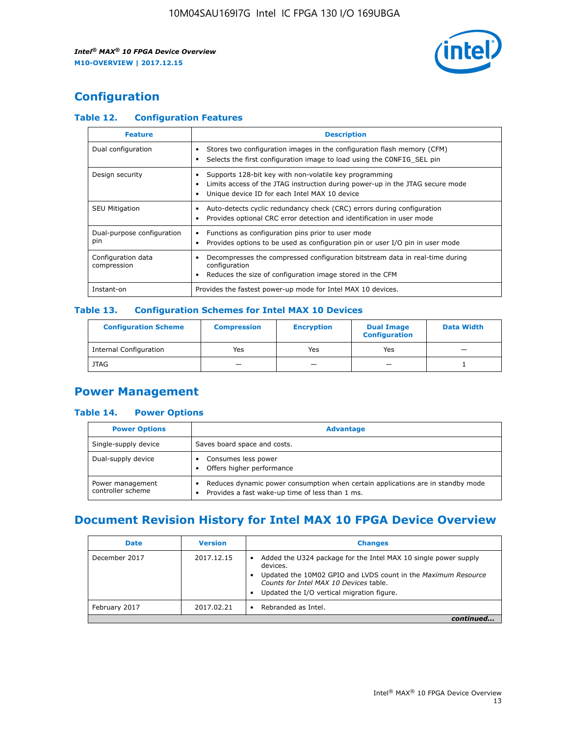

## **Configuration**

## **Table 12. Configuration Features**

| <b>Feature</b>                    | <b>Description</b>                                                                                                                                                                       |
|-----------------------------------|------------------------------------------------------------------------------------------------------------------------------------------------------------------------------------------|
| Dual configuration                | Stores two configuration images in the configuration flash memory (CFM)<br>Selects the first configuration image to load using the CONFIG SEL pin                                        |
| Design security                   | Supports 128-bit key with non-volatile key programming<br>Limits access of the JTAG instruction during power-up in the JTAG secure mode<br>Unique device ID for each Intel MAX 10 device |
| <b>SEU Mitigation</b>             | Auto-detects cyclic redundancy check (CRC) errors during configuration<br>Provides optional CRC error detection and identification in user mode                                          |
| Dual-purpose configuration<br>pin | Functions as configuration pins prior to user mode<br>Provides options to be used as configuration pin or user I/O pin in user mode                                                      |
| Configuration data<br>compression | Decompresses the compressed configuration bitstream data in real-time during<br>configuration<br>Reduces the size of configuration image stored in the CFM                               |
| Instant-on                        | Provides the fastest power-up mode for Intel MAX 10 devices.                                                                                                                             |

## **Table 13. Configuration Schemes for Intel MAX 10 Devices**

| <b>Configuration Scheme</b> | <b>Compression</b> | <b>Encryption</b> | <b>Dual Image</b><br><b>Configuration</b> | <b>Data Width</b> |
|-----------------------------|--------------------|-------------------|-------------------------------------------|-------------------|
| Internal Configuration      | Yes                | Yes               | Yes                                       |                   |
| <b>JTAG</b>                 | _                  |                   | -                                         |                   |

## **Power Management**

## **Table 14. Power Options**

| <b>Power Options</b>                  | <b>Advantage</b>                                                                                                                   |  |
|---------------------------------------|------------------------------------------------------------------------------------------------------------------------------------|--|
| Single-supply device                  | Saves board space and costs.                                                                                                       |  |
| Dual-supply device                    | Consumes less power<br>Offers higher performance                                                                                   |  |
| Power management<br>controller scheme | Reduces dynamic power consumption when certain applications are in standby mode<br>Provides a fast wake-up time of less than 1 ms. |  |

## **Document Revision History for Intel MAX 10 FPGA Device Overview**

| <b>Date</b>   | <b>Version</b> | <b>Changes</b>                                                                                                                                                                                                                       |
|---------------|----------------|--------------------------------------------------------------------------------------------------------------------------------------------------------------------------------------------------------------------------------------|
| December 2017 | 2017.12.15     | Added the U324 package for the Intel MAX 10 single power supply<br>devices.<br>Updated the 10M02 GPIO and LVDS count in the Maximum Resource<br>Counts for Intel MAX 10 Devices table.<br>Updated the I/O vertical migration figure. |
| February 2017 | 2017.02.21     | Rebranded as Intel.                                                                                                                                                                                                                  |
|               |                |                                                                                                                                                                                                                                      |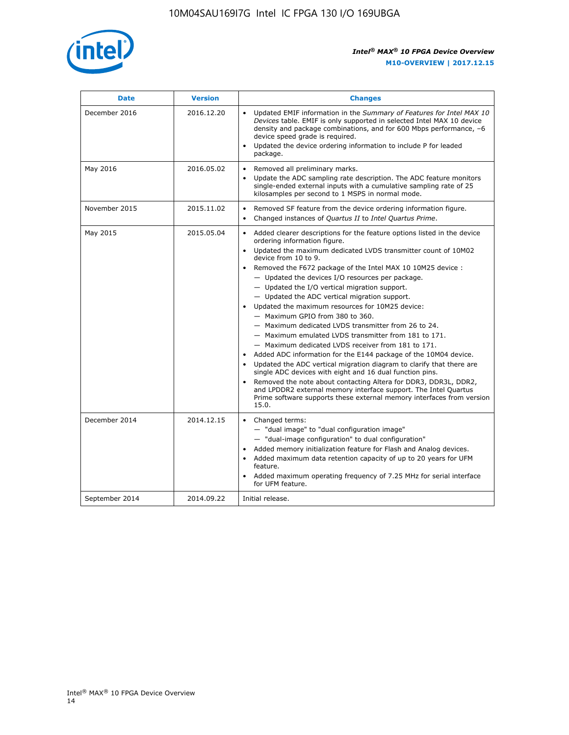

| <b>Date</b>    | <b>Version</b> | <b>Changes</b>                                                                                                                                                                                                                                                                                                                                                                                                                                                                                                                                                                                                                                                                                                                                                                                                                                                                                                                                                                                                                                                                                                                                                                     |
|----------------|----------------|------------------------------------------------------------------------------------------------------------------------------------------------------------------------------------------------------------------------------------------------------------------------------------------------------------------------------------------------------------------------------------------------------------------------------------------------------------------------------------------------------------------------------------------------------------------------------------------------------------------------------------------------------------------------------------------------------------------------------------------------------------------------------------------------------------------------------------------------------------------------------------------------------------------------------------------------------------------------------------------------------------------------------------------------------------------------------------------------------------------------------------------------------------------------------------|
| December 2016  | 2016.12.20     | • Updated EMIF information in the Summary of Features for Intel MAX 10<br>Devices table. EMIF is only supported in selected Intel MAX 10 device<br>density and package combinations, and for 600 Mbps performance, -6<br>device speed grade is required.<br>Updated the device ordering information to include P for leaded<br>$\bullet$<br>package.                                                                                                                                                                                                                                                                                                                                                                                                                                                                                                                                                                                                                                                                                                                                                                                                                               |
| May 2016       | 2016.05.02     | Removed all preliminary marks.<br>Update the ADC sampling rate description. The ADC feature monitors<br>$\bullet$<br>single-ended external inputs with a cumulative sampling rate of 25<br>kilosamples per second to 1 MSPS in normal mode.                                                                                                                                                                                                                                                                                                                                                                                                                                                                                                                                                                                                                                                                                                                                                                                                                                                                                                                                        |
| November 2015  | 2015.11.02     | Removed SF feature from the device ordering information figure.<br>$\bullet$<br>Changed instances of Quartus II to Intel Quartus Prime.<br>$\bullet$                                                                                                                                                                                                                                                                                                                                                                                                                                                                                                                                                                                                                                                                                                                                                                                                                                                                                                                                                                                                                               |
| May 2015       | 2015.05.04     | Added clearer descriptions for the feature options listed in the device<br>$\bullet$<br>ordering information figure.<br>Updated the maximum dedicated LVDS transmitter count of 10M02<br>$\bullet$<br>device from 10 to 9.<br>• Removed the F672 package of the Intel MAX 10 10M25 device :<br>- Updated the devices I/O resources per package.<br>- Updated the I/O vertical migration support.<br>- Updated the ADC vertical migration support.<br>Updated the maximum resources for 10M25 device:<br>- Maximum GPIO from 380 to 360.<br>- Maximum dedicated LVDS transmitter from 26 to 24.<br>- Maximum emulated LVDS transmitter from 181 to 171.<br>- Maximum dedicated LVDS receiver from 181 to 171.<br>Added ADC information for the E144 package of the 10M04 device.<br>$\bullet$<br>Updated the ADC vertical migration diagram to clarify that there are<br>$\bullet$<br>single ADC devices with eight and 16 dual function pins.<br>Removed the note about contacting Altera for DDR3, DDR3L, DDR2,<br>$\bullet$<br>and LPDDR2 external memory interface support. The Intel Quartus<br>Prime software supports these external memory interfaces from version<br>15.0. |
| December 2014  | 2014.12.15     | $\bullet$<br>Changed terms:<br>- "dual image" to "dual configuration image"<br>- "dual-image configuration" to dual configuration"<br>• Added memory initialization feature for Flash and Analog devices.<br>• Added maximum data retention capacity of up to 20 years for UFM<br>feature.<br>Added maximum operating frequency of 7.25 MHz for serial interface<br>$\bullet$<br>for UFM feature.                                                                                                                                                                                                                                                                                                                                                                                                                                                                                                                                                                                                                                                                                                                                                                                  |
| September 2014 | 2014.09.22     | Initial release.                                                                                                                                                                                                                                                                                                                                                                                                                                                                                                                                                                                                                                                                                                                                                                                                                                                                                                                                                                                                                                                                                                                                                                   |